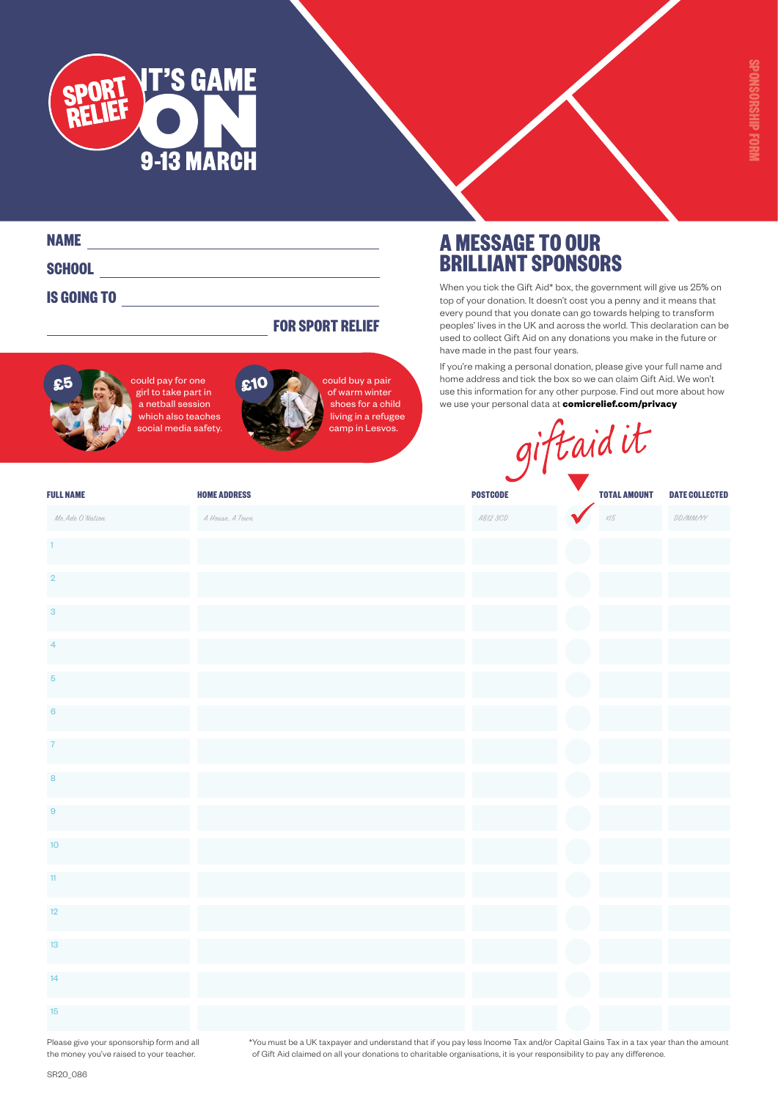

| <b>NAME</b>        |  |
|--------------------|--|
| SCHOOL             |  |
| <b>IS GOING TO</b> |  |

#### **FOR SPORT RELIEF**



ould pay for one girl to take part in *,*<br>a netball session which also teaches social media safety.



could buy a pair of warm winter shoes for a child living in a refugee camp in Lesvos.

## **A MESSAGE TO OUR BRILLIANT SPONSORS**

When you tick the Gift Aid\* box, the government will give us 25% on top of your donation. It doesn't cost you a penny and it means that every pound that you donate can go towards helping to transform peoples' lives in the UK and across the world. This declaration can be used to collect Gift Aid on any donations you make in the future or have made in the past four years.

If you're making a personal donation, please give your full name and home address and tick the box so we can claim Gift Aid. We won't use this information for any other purpose. Find out more about how we use your personal data at **[comicrelief.com/privacy](http://comicrelief.com/privacy?utm_source=document&utm_medium=link&utm_campaign=sr20-pdf-links&utm_content=sr20_schools_sponsorship_form)**

| social media safety. | nving in a relugee<br>camp in Lesvos. |                 | giftaid it          |                       |
|----------------------|---------------------------------------|-----------------|---------------------|-----------------------|
| <b>FULL NAME</b>     | <b>HOME ADDRESS</b>                   | <b>POSTCODE</b> | <b>TOTAL AMOUNT</b> | <b>DATE COLLECTED</b> |
| Mr. Ade O'Nation     | A House, A Town                       | AB12 3CD        | 215                 | DD/MM/YY              |
| 1 <sub>1</sub>       |                                       |                 |                     |                       |
| $\overline{2}$       |                                       |                 |                     |                       |
| $\sqrt{3}$           |                                       |                 |                     |                       |
| $\overline{4}$       |                                       |                 |                     |                       |
| $\overline{5}$       |                                       |                 |                     |                       |
| $6\phantom{1}6$      |                                       |                 |                     |                       |
| $\overline{7}$       |                                       |                 |                     |                       |
| $\bf8$               |                                       |                 |                     |                       |
| $\overline{9}$       |                                       |                 |                     |                       |
| $10$                 |                                       |                 |                     |                       |
| 11                   |                                       |                 |                     |                       |
| 12                   |                                       |                 |                     |                       |
| 13                   |                                       |                 |                     |                       |
| 14                   |                                       |                 |                     |                       |
| 15                   |                                       |                 |                     |                       |

Please give your sponsorship form and all the money you've raised to your teacher.

\*You must be a UK taxpayer and understand that if you pay less Income Tax and/or Capital Gains Tax in a tax year than the amount of Gift Aid claimed on all your donations to charitable organisations, it is your responsibility to pay any difference.